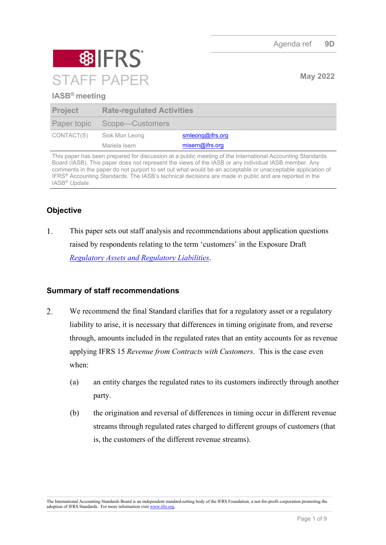Agenda ref **9D**



## **IASB® meeting**

| <b>Project</b> | <b>Rate-regulated Activities</b> |                  |
|----------------|----------------------------------|------------------|
|                | Paper topic Scope—Customers      |                  |
| CONTACT(S)     | Siok Mun Leong                   | smleong@ifrs.org |
|                | Mariela Isern                    | misern@ifrs.org  |

This paper has been prepared for discussion at a public meeting of the International Accounting Standards Board (IASB). This paper does not represent the views of the IASB or any individual IASB member. Any comments in the paper do not purport to set out what would be an acceptable or unacceptable application of IFRS® Accounting Standards. The IASB's technical decisions are made in public and are reported in the IASB® *Update*.

# **Objective**

 $1<sub>1</sub>$ This paper sets out staff analysis and recommendations about application questions raised by respondents relating to the term 'customers' in the Exposure Draft *[Regulatory Assets and Regulatory Liabilities](https://www.ifrs.org/content/dam/ifrs/project/rate-regulated-activities/published-documents/ed2021-rra.pdf)*.

### **Summary of staff recommendations**

- $2.$ We recommend the final Standard clarifies that for a regulatory asset or a regulatory liability to arise, it is necessary that differences in timing originate from, and reverse through, amounts included in the regulated rates that an entity accounts for as revenue applying IFRS 15 *Revenue from Contracts with Customers*. This is the case even when:
	- (a) an entity charges the regulated rates to its customers indirectly through another party.
	- (b) the origination and reversal of differences in timing occur in different revenue streams through regulated rates charged to different groups of customers (that is, the customers of the different revenue streams).

The International Accounting Standards Board is an independent standard-setting body of the IFRS Foundation, a not-for-profit corporation promoting the adoption of IFRS Standards. For more information visit [www.ifrs.org.](http://www.ifrs.org/)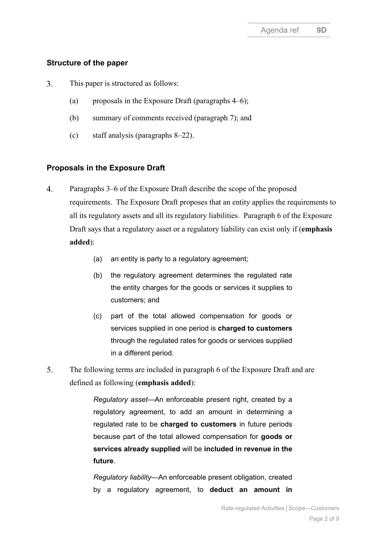## **Structure of the paper**

- $\overline{3}$ . This paper is structured as follows:
	- (a) proposals in the Exposure Draft (paragraphs  $4-6$ );
	- (b) summary of comments received (paragraph [7\)](#page-2-1); and
	- (c) staff analysis (paragraphs [8](#page-3-0)[–22\)](#page-7-0).

## **Proposals in the Exposure Draft**

- <span id="page-1-0"></span> $\overline{4}$ . Paragraphs 3–6 of the Exposure Draft describe the scope of the proposed requirements. The Exposure Draft proposes that an entity applies the requirements to all its regulatory assets and all its regulatory liabilities. Paragraph 6 of the Exposure Draft says that a regulatory asset or a regulatory liability can exist only if (**emphasis added**):
	- (a) an entity is party to a regulatory agreement;
	- (b) the regulatory agreement determines the regulated rate the entity charges for the goods or services it supplies to customers; and
	- (c) part of the total allowed compensation for goods or services supplied in one period is **charged to customers** through the regulated rates for goods or services supplied in a different period.
- <span id="page-1-1"></span>5. The following terms are included in paragraph 6 of the Exposure Draft and are defined as following (**emphasis added**):

*Regulatory asset*—An enforceable present right, created by a regulatory agreement, to add an amount in determining a regulated rate to be **charged to customers** in future periods because part of the total allowed compensation for **goods or services already supplied** will be **included in revenue in the future**.

*Regulatory liability*—An enforceable present obligation, created by a regulatory agreement, to **deduct an amount in**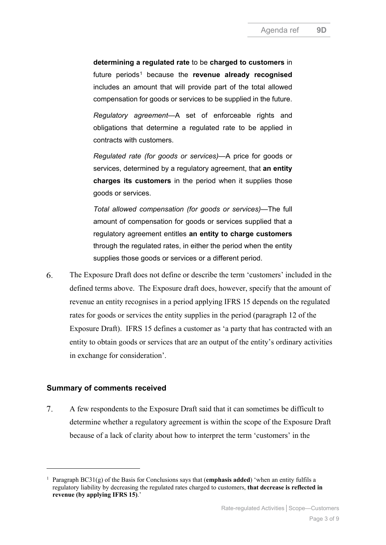**determining a regulated rate** to be **charged to customers** in future periods[1](#page-2-2) because the **revenue already recognised** includes an amount that will provide part of the total allowed compensation for goods or services to be supplied in the future.

*Regulatory agreement*—A set of enforceable rights and obligations that determine a regulated rate to be applied in contracts with customers.

*Regulated rate (for goods or services)*—A price for goods or services, determined by a regulatory agreement, that **an entity charges its customers** in the period when it supplies those goods or services.

*Total allowed compensation (for goods or services)*—The full amount of compensation for goods or services supplied that a regulatory agreement entitles **an entity to charge customers** through the regulated rates, in either the period when the entity supplies those goods or services or a different period.

<span id="page-2-0"></span>6. The Exposure Draft does not define or describe the term 'customers' included in the defined terms above. The Exposure draft does, however, specify that the amount of revenue an entity recognises in a period applying IFRS 15 depends on the regulated rates for goods or services the entity supplies in the period (paragraph 12 of the Exposure Draft). IFRS 15 defines a customer as 'a party that has contracted with an entity to obtain goods or services that are an output of the entity's ordinary activities in exchange for consideration'.

#### **Summary of comments received**

<span id="page-2-1"></span> $7.$ A few respondents to the Exposure Draft said that it can sometimes be difficult to determine whether a regulatory agreement is within the scope of the Exposure Draft because of a lack of clarity about how to interpret the term 'customers' in the

<span id="page-2-2"></span><sup>1</sup> Paragraph BC31(g) of the Basis for Conclusions says that (**emphasis added**) 'when an entity fulfils a regulatory liability by decreasing the regulated rates charged to customers, **that decrease is reflected in revenue (by applying IFRS 15)**.'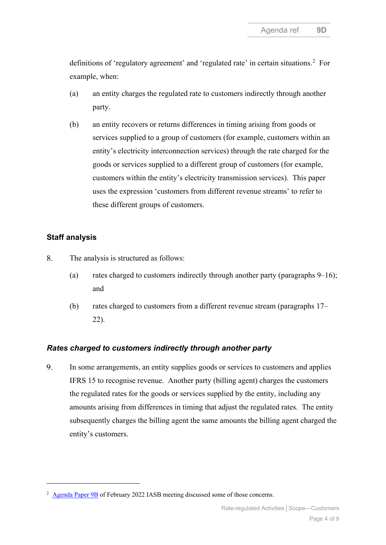definitions of 'regulatory agreement' and 'regulated rate' in certain situations.<sup>[2](#page-3-2)</sup> For example, when:

- (a) an entity charges the regulated rate to customers indirectly through another party.
- (b) an entity recovers or returns differences in timing arising from goods or services supplied to a group of customers (for example, customers within an entity's electricity interconnection services) through the rate charged for the goods or services supplied to a different group of customers (for example, customers within the entity's electricity transmission services). This paper uses the expression 'customers from different revenue streams' to refer to these different groups of customers.

# **Staff analysis**

- <span id="page-3-0"></span>8. The analysis is structured as follows:
	- (a) rates charged to customers indirectly through another party (paragraphs  $9-16$ ); and
	- (b) rates charged to customers from a different revenue stream (paragraphs [17–](#page-6-0) [22\)](#page-7-0).

### *Rates charged to customers indirectly through another party*

<span id="page-3-3"></span><span id="page-3-1"></span>9. In some arrangements, an entity supplies goods or services to customers and applies IFRS 15 to recognise revenue. Another party (billing agent) charges the customers the regulated rates for the goods or services supplied by the entity, including any amounts arising from differences in timing that adjust the regulated rates. The entity subsequently charges the billing agent the same amounts the billing agent charged the entity's customers.

<span id="page-3-2"></span><sup>&</sup>lt;sup>2</sup> [Agenda Paper 9B](https://www.ifrs.org/content/dam/ifrs/meetings/2022/february/iasb/ap9b-rra-scope-determining-whether-regulatory-agreement-is-within-scope.pdf) of February 2022 IASB meeting discussed some of those concerns.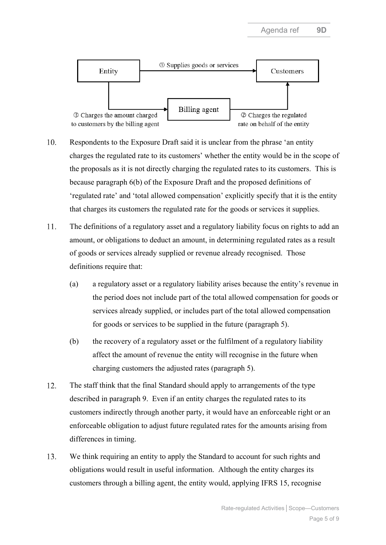

- 10. Respondents to the Exposure Draft said it is unclear from the phrase 'an entity charges the regulated rate to its customers' whether the entity would be in the scope of the proposals as it is not directly charging the regulated rates to its customers. This is because paragraph 6(b) of the Exposure Draft and the proposed definitions of 'regulated rate' and 'total allowed compensation' explicitly specify that it is the entity that charges its customers the regulated rate for the goods or services it supplies.
- 11. The definitions of a regulatory asset and a regulatory liability focus on rights to add an amount, or obligations to deduct an amount, in determining regulated rates as a result of goods or services already supplied or revenue already recognised. Those definitions require that:
	- (a) a regulatory asset or a regulatory liability arises because the entity's revenue in the period does not include part of the total allowed compensation for goods or services already supplied, or includes part of the total allowed compensation for goods or services to be supplied in the future (paragraph [5\)](#page-1-1).
	- (b) the recovery of a regulatory asset or the fulfilment of a regulatory liability affect the amount of revenue the entity will recognise in the future when charging customers the adjusted rates (paragraph [5\)](#page-1-1).
- 12. The staff think that the final Standard should apply to arrangements of the type described in paragraph [9.](#page-3-1) Even if an entity charges the regulated rates to its customers indirectly through another party, it would have an enforceable right or an enforceable obligation to adjust future regulated rates for the amounts arising from differences in timing.
- 13. We think requiring an entity to apply the Standard to account for such rights and obligations would result in useful information. Although the entity charges its customers through a billing agent, the entity would, applying IFRS 15, recognise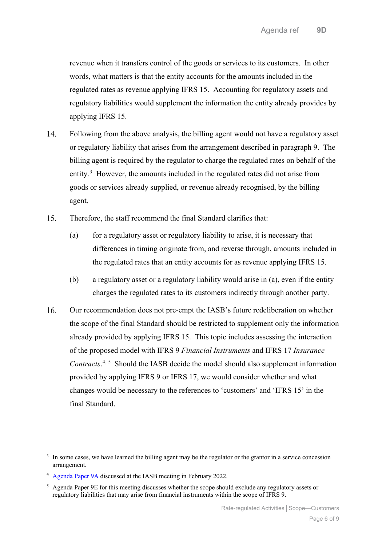revenue when it transfers control of the goods or services to its customers. In other words, what matters is that the entity accounts for the amounts included in the regulated rates as revenue applying IFRS 15. Accounting for regulatory assets and regulatory liabilities would supplement the information the entity already provides by applying IFRS 15.

- $14.$ Following from the above analysis, the billing agent would not have a regulatory asset or regulatory liability that arises from the arrangement described in paragraph [9.](#page-3-3) The billing agent is required by the regulator to charge the regulated rates on behalf of the entity.<sup>[3](#page-5-1)</sup> However, the amounts included in the regulated rates did not arise from goods or services already supplied, or revenue already recognised, by the billing agent.
- <span id="page-5-4"></span> $15<sub>1</sub>$ Therefore, the staff recommend the final Standard clarifies that:
	- (a) for a regulatory asset or regulatory liability to arise, it is necessary that differences in timing originate from, and reverse through, amounts included in the regulated rates that an entity accounts for as revenue applying IFRS 15.
	- (b) a regulatory asset or a regulatory liability would arise in (a), even if the entity charges the regulated rates to its customers indirectly through another party.
- <span id="page-5-0"></span> $16.$ Our recommendation does not pre-empt the IASB's future redeliberation on whether the scope of the final Standard should be restricted to supplement only the information already provided by applying IFRS 15. This topic includes assessing the interaction of the proposed model with IFRS 9 *Financial Instruments* and IFRS 17 *Insurance*  Contracts.<sup>[4](#page-5-2), [5](#page-5-3)</sup> Should the IASB decide the model should also supplement information provided by applying IFRS 9 or IFRS 17, we would consider whether and what changes would be necessary to the references to 'customers' and 'IFRS 15' in the final Standard.

<span id="page-5-1"></span><sup>&</sup>lt;sup>3</sup> In some cases, we have learned the billing agent may be the regulator or the grantor in a service concession arrangement.

<span id="page-5-2"></span><sup>4</sup> [Agenda Paper 9A](https://www.ifrs.org/content/dam/ifrs/meetings/2022/february/iasb/ap9a-rra-scope-overview.pdf) discussed at the IASB meeting in February 2022.

<span id="page-5-3"></span><sup>5</sup> Agenda Paper 9E for this meeting discusses whether the scope should exclude any regulatory assets or regulatory liabilities that may arise from financial instruments within the scope of IFRS 9.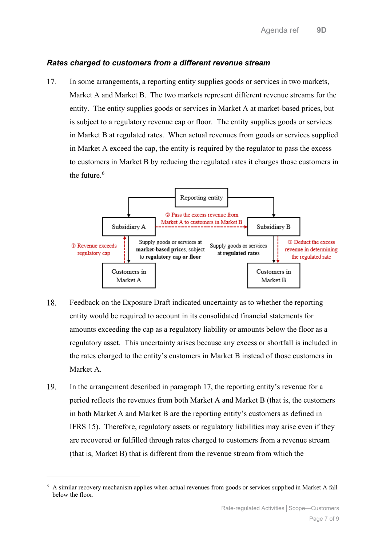## *Rates charged to customers from a different revenue stream*

<span id="page-6-0"></span>In some arrangements, a reporting entity supplies goods or services in two markets, 17. Market A and Market B. The two markets represent different revenue streams for the entity. The entity supplies goods or services in Market A at market-based prices, but is subject to a regulatory revenue cap or floor. The entity supplies goods or services in Market B at regulated rates. When actual revenues from goods or services supplied in Market A exceed the cap, the entity is required by the regulator to pass the excess to customers in Market B by reducing the regulated rates it charges those customers in the future. [6](#page-6-1)



- 18. Feedback on the Exposure Draft indicated uncertainty as to whether the reporting entity would be required to account in its consolidated financial statements for amounts exceeding the cap as a regulatory liability or amounts below the floor as a regulatory asset. This uncertainty arises because any excess or shortfall is included in the rates charged to the entity's customers in Market B instead of those customers in Market A.
- <span id="page-6-2"></span>19. In the arrangement described in paragraph [17,](#page-6-0) the reporting entity's revenue for a period reflects the revenues from both Market A and Market B (that is, the customers in both Market A and Market B are the reporting entity's customers as defined in IFRS 15). Therefore, regulatory assets or regulatory liabilities may arise even if they are recovered or fulfilled through rates charged to customers from a revenue stream (that is, Market B) that is different from the revenue stream from which the

<span id="page-6-1"></span><sup>6</sup> A similar recovery mechanism applies when actual revenues from goods or services supplied in Market A fall below the floor.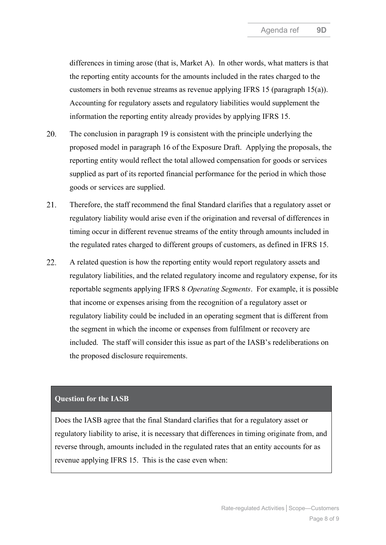differences in timing arose (that is, Market A). In other words, what matters is that the reporting entity accounts for the amounts included in the rates charged to the customers in both revenue streams as revenue applying IFRS 15 (paragraph [15\(a\)\)](#page-5-4). Accounting for regulatory assets and regulatory liabilities would supplement the information the reporting entity already provides by applying IFRS 15.

- 20. The conclusion in paragraph [19](#page-6-2) is consistent with the principle underlying the proposed model in paragraph 16 of the Exposure Draft. Applying the proposals, the reporting entity would reflect the total allowed compensation for goods or services supplied as part of its reported financial performance for the period in which those goods or services are supplied.
- <span id="page-7-1"></span>21. Therefore, the staff recommend the final Standard clarifies that a regulatory asset or regulatory liability would arise even if the origination and reversal of differences in timing occur in different revenue streams of the entity through amounts included in the regulated rates charged to different groups of customers, as defined in IFRS 15.
- <span id="page-7-0"></span>22. A related question is how the reporting entity would report regulatory assets and regulatory liabilities, and the related regulatory income and regulatory expense, for its reportable segments applying IFRS 8 *Operating Segments*. For example, it is possible that income or expenses arising from the recognition of a regulatory asset or regulatory liability could be included in an operating segment that is different from the segment in which the income or expenses from fulfilment or recovery are included. The staff will consider this issue as part of the IASB's redeliberations on the proposed disclosure requirements.

#### **Question for the IASB**

Does the IASB agree that the final Standard clarifies that for a regulatory asset or regulatory liability to arise, it is necessary that differences in timing originate from, and reverse through, amounts included in the regulated rates that an entity accounts for as revenue applying IFRS 15. This is the case even when: